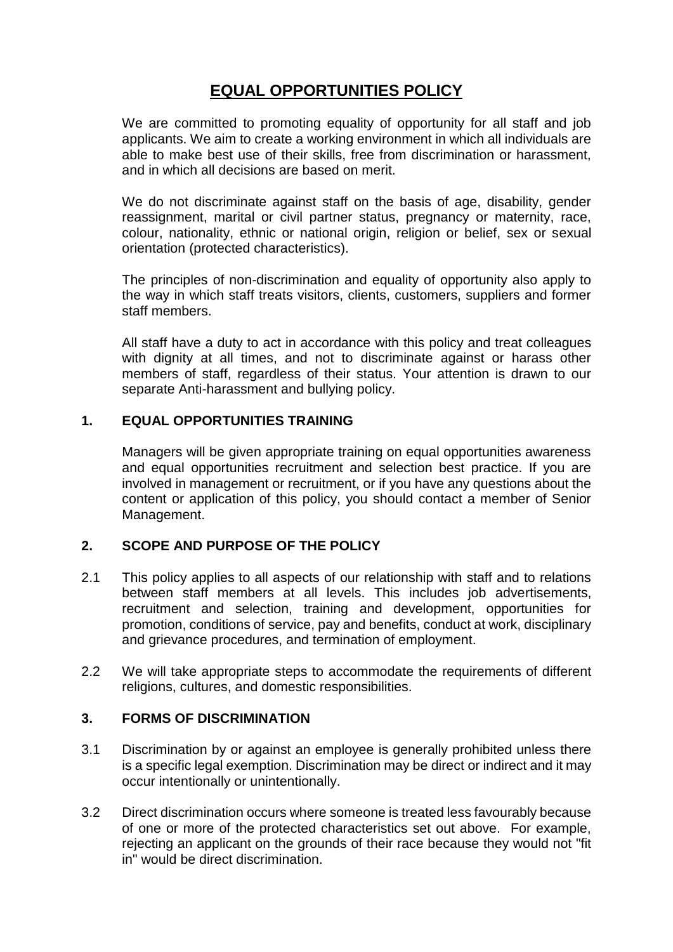# **EQUAL OPPORTUNITIES POLICY**

We are committed to promoting equality of opportunity for all staff and job applicants. We aim to create a working environment in which all individuals are able to make best use of their skills, free from discrimination or harassment, and in which all decisions are based on merit.

We do not discriminate against staff on the basis of age, disability, gender reassignment, marital or civil partner status, pregnancy or maternity, race, colour, nationality, ethnic or national origin, religion or belief, sex or sexual orientation (protected characteristics).

The principles of non-discrimination and equality of opportunity also apply to the way in which staff treats visitors, clients, customers, suppliers and former staff members.

All staff have a duty to act in accordance with this policy and treat colleagues with dignity at all times, and not to discriminate against or harass other members of staff, regardless of their status. Your attention is drawn to our separate Anti-harassment and bullying policy.

## **1. EQUAL OPPORTUNITIES TRAINING**

Managers will be given appropriate training on equal opportunities awareness and equal opportunities recruitment and selection best practice. If you are involved in management or recruitment, or if you have any questions about the content or application of this policy, you should contact a member of Senior Management.

## **2. SCOPE AND PURPOSE OF THE POLICY**

- 2.1 This policy applies to all aspects of our relationship with staff and to relations between staff members at all levels. This includes job advertisements, recruitment and selection, training and development, opportunities for promotion, conditions of service, pay and benefits, conduct at work, disciplinary and grievance procedures, and termination of employment.
- 2.2 We will take appropriate steps to accommodate the requirements of different religions, cultures, and domestic responsibilities.

#### **3. FORMS OF DISCRIMINATION**

- 3.1 Discrimination by or against an employee is generally prohibited unless there is a specific legal exemption. Discrimination may be direct or indirect and it may occur intentionally or unintentionally.
- 3.2 Direct discrimination occurs where someone is treated less favourably because of one or more of the protected characteristics set out above. For example, rejecting an applicant on the grounds of their race because they would not "fit in" would be direct discrimination.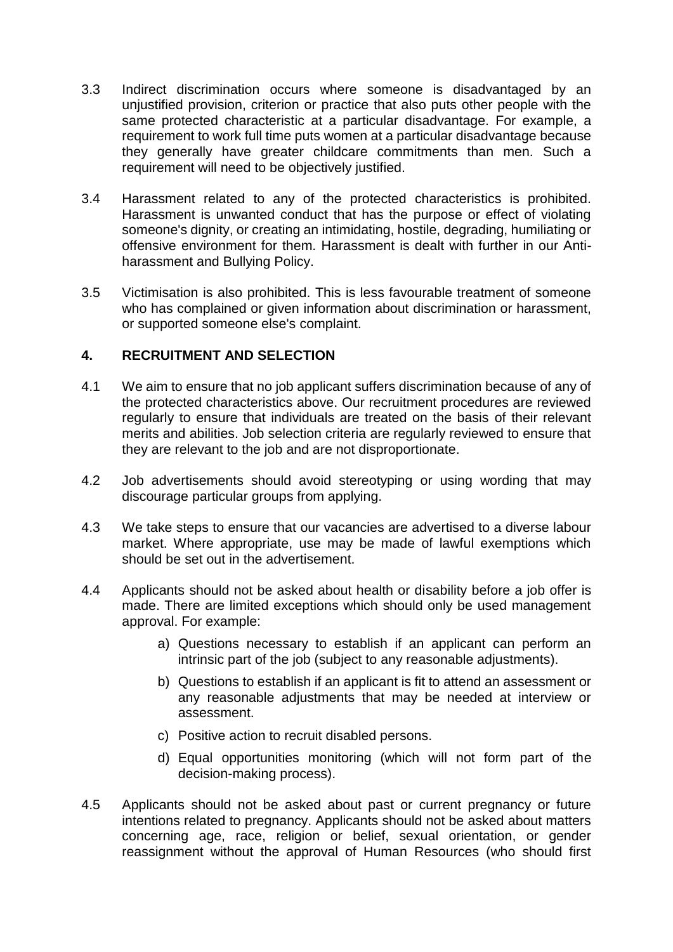- 3.3 Indirect discrimination occurs where someone is disadvantaged by an unjustified provision, criterion or practice that also puts other people with the same protected characteristic at a particular disadvantage. For example, a requirement to work full time puts women at a particular disadvantage because they generally have greater childcare commitments than men. Such a requirement will need to be objectively justified.
- 3.4 Harassment related to any of the protected characteristics is prohibited. Harassment is unwanted conduct that has the purpose or effect of violating someone's dignity, or creating an intimidating, hostile, degrading, humiliating or offensive environment for them. Harassment is dealt with further in our Antiharassment and Bullying Policy.
- 3.5 Victimisation is also prohibited. This is less favourable treatment of someone who has complained or given information about discrimination or harassment, or supported someone else's complaint.

## **4. RECRUITMENT AND SELECTION**

- 4.1 We aim to ensure that no job applicant suffers discrimination because of any of the protected characteristics above. Our recruitment procedures are reviewed regularly to ensure that individuals are treated on the basis of their relevant merits and abilities. Job selection criteria are regularly reviewed to ensure that they are relevant to the job and are not disproportionate.
- 4.2 Job advertisements should avoid stereotyping or using wording that may discourage particular groups from applying.
- 4.3 We take steps to ensure that our vacancies are advertised to a diverse labour market. Where appropriate, use may be made of lawful exemptions which should be set out in the advertisement.
- 4.4 Applicants should not be asked about health or disability before a job offer is made. There are limited exceptions which should only be used management approval. For example:
	- a) Questions necessary to establish if an applicant can perform an intrinsic part of the job (subject to any reasonable adjustments).
	- b) Questions to establish if an applicant is fit to attend an assessment or any reasonable adjustments that may be needed at interview or assessment.
	- c) Positive action to recruit disabled persons.
	- d) Equal opportunities monitoring (which will not form part of the decision-making process).
- 4.5 Applicants should not be asked about past or current pregnancy or future intentions related to pregnancy. Applicants should not be asked about matters concerning age, race, religion or belief, sexual orientation, or gender reassignment without the approval of Human Resources (who should first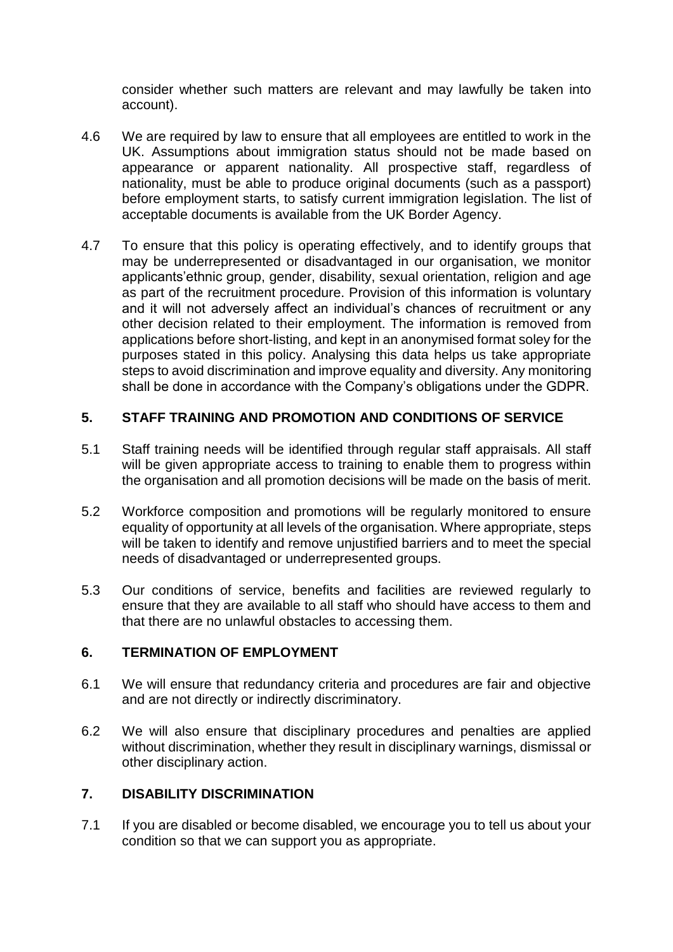consider whether such matters are relevant and may lawfully be taken into account).

- 4.6 We are required by law to ensure that all employees are entitled to work in the UK. Assumptions about immigration status should not be made based on appearance or apparent nationality. All prospective staff, regardless of nationality, must be able to produce original documents (such as a passport) before employment starts, to satisfy current immigration legislation. The list of acceptable documents is available from the UK Border Agency.
- 4.7 To ensure that this policy is operating effectively, and to identify groups that may be underrepresented or disadvantaged in our organisation, we monitor applicants'ethnic group, gender, disability, sexual orientation, religion and age as part of the recruitment procedure. Provision of this information is voluntary and it will not adversely affect an individual's chances of recruitment or any other decision related to their employment. The information is removed from applications before short-listing, and kept in an anonymised format soley for the purposes stated in this policy. Analysing this data helps us take appropriate steps to avoid discrimination and improve equality and diversity. Any monitoring shall be done in accordance with the Company's obligations under the GDPR.

## **5. STAFF TRAINING AND PROMOTION AND CONDITIONS OF SERVICE**

- 5.1 Staff training needs will be identified through regular staff appraisals. All staff will be given appropriate access to training to enable them to progress within the organisation and all promotion decisions will be made on the basis of merit.
- 5.2 Workforce composition and promotions will be regularly monitored to ensure equality of opportunity at all levels of the organisation. Where appropriate, steps will be taken to identify and remove unjustified barriers and to meet the special needs of disadvantaged or underrepresented groups.
- 5.3 Our conditions of service, benefits and facilities are reviewed regularly to ensure that they are available to all staff who should have access to them and that there are no unlawful obstacles to accessing them.

## **6. TERMINATION OF EMPLOYMENT**

- 6.1 We will ensure that redundancy criteria and procedures are fair and objective and are not directly or indirectly discriminatory.
- 6.2 We will also ensure that disciplinary procedures and penalties are applied without discrimination, whether they result in disciplinary warnings, dismissal or other disciplinary action.

# **7. DISABILITY DISCRIMINATION**

7.1 If you are disabled or become disabled, we encourage you to tell us about your condition so that we can support you as appropriate.